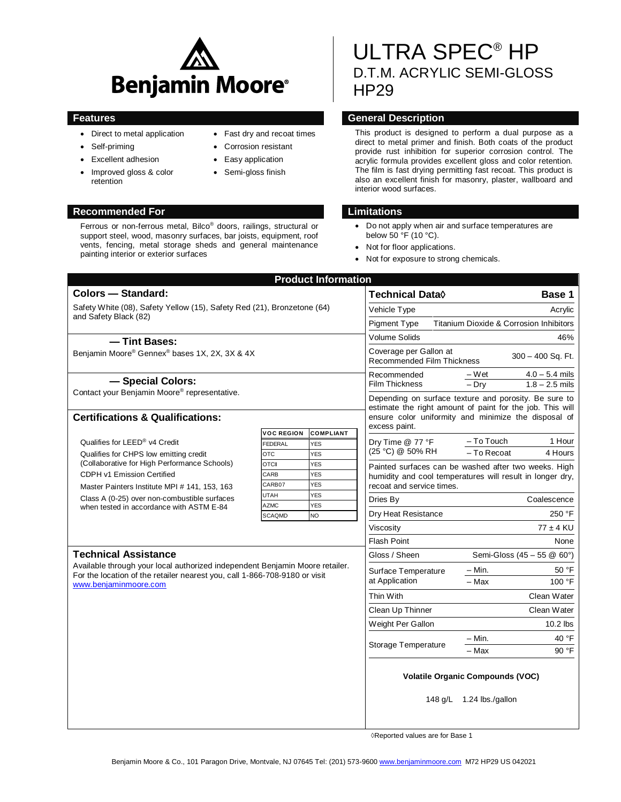

- Direct to metal application
- Self-priming
- Excellent adhesion
- Improved gloss & color retention

#### **Recommended For Limitations**

Ferrous or non-ferrous metal, Bilco® doors, railings, structural or support steel, wood, masonry surfaces, bar joists, equipment, roof vents, fencing, metal storage sheds and general maintenance painting interior or exterior surfaces

Fast dry and recoat times

- Corrosion resistant
- Easy application
- Semi-gloss finish

# ULTRA SPEC® HP D.T.M. ACRYLIC SEMI-GLOSS HP29

# **Features General Description**

This product is designed to perform a dual purpose as a direct to metal primer and finish. Both coats of the product provide rust inhibition for superior corrosion control. The acrylic formula provides excellent gloss and color retention. The film is fast drying permitting fast recoat. This product is also an excellent finish for masonry, plaster, wallboard and interior wood surfaces.

- Do not apply when air and surface temperatures are below 50 °F (10 °C).
- Not for floor applications.
- Not for exposure to strong chemicals.

|                                                                                                                                                                                                                    |                            | <b>Product Information</b> |                                                                                                                    |                               |                                         |                                      |
|--------------------------------------------------------------------------------------------------------------------------------------------------------------------------------------------------------------------|----------------------------|----------------------------|--------------------------------------------------------------------------------------------------------------------|-------------------------------|-----------------------------------------|--------------------------------------|
| <b>Colors - Standard:</b>                                                                                                                                                                                          |                            |                            | Technical Data $\Diamond$                                                                                          |                               |                                         | Base 1                               |
| Safety White (08), Safety Yellow (15), Safety Red (21), Bronzetone (64)<br>and Safety Black (82)                                                                                                                   |                            |                            | Vehicle Type<br>Acrylic                                                                                            |                               |                                         |                                      |
|                                                                                                                                                                                                                    |                            |                            | <b>Titanium Dioxide &amp; Corrosion Inhibitors</b><br><b>Pigment Type</b>                                          |                               |                                         |                                      |
| -Tint Bases:                                                                                                                                                                                                       |                            |                            | Volume Solids                                                                                                      | 46%                           |                                         |                                      |
| Benjamin Moore® Gennex® bases 1X, 2X, 3X & 4X                                                                                                                                                                      |                            |                            | Coverage per Gallon at<br>300 - 400 Sq. Ft.<br>Recommended Film Thickness                                          |                               |                                         |                                      |
| - Special Colors:                                                                                                                                                                                                  |                            |                            | Recommended<br><b>Film Thickness</b>                                                                               |                               | – Wet<br>$-$ Dry                        | $4.0 - 5.4$ mils<br>$1.8 - 2.5$ mils |
| Contact your Benjamin Moore® representative.                                                                                                                                                                       |                            |                            | Depending on surface texture and porosity. Be sure to<br>estimate the right amount of paint for the job. This will |                               |                                         |                                      |
| <b>Certifications &amp; Qualifications:</b>                                                                                                                                                                        |                            |                            | ensure color uniformity and minimize the disposal of                                                               |                               |                                         |                                      |
|                                                                                                                                                                                                                    | <b>VOC REGION</b>          | <b>COMPLIANT</b>           | excess paint.                                                                                                      |                               |                                         |                                      |
| Qualifies for LEED <sup>®</sup> v4 Credit<br>Qualifies for CHPS low emitting credit<br>(Collaborative for High Performance Schools)                                                                                | FEDERAL                    | <b>YES</b>                 | Dry Time @ 77 °F<br>(25 °C) @ 50% RH                                                                               |                               | $-$ To Touch                            | 1 Hour                               |
|                                                                                                                                                                                                                    | <b>OTC</b>                 | <b>YES</b>                 |                                                                                                                    |                               | - To Recoat                             | 4 Hours                              |
| <b>CDPH v1 Emission Certified</b>                                                                                                                                                                                  | <b>OTCII</b><br>CARB       | <b>YES</b><br><b>YES</b>   | Painted surfaces can be washed after two weeks. High                                                               |                               |                                         |                                      |
| CARB07<br><b>YES</b><br>Master Painters Institute MPI # 141, 153, 163                                                                                                                                              |                            |                            | humidity and cool temperatures will result in longer dry,<br>recoat and service times.                             |                               |                                         |                                      |
| Class A (0-25) over non-combustible surfaces<br>when tested in accordance with ASTM E-84                                                                                                                           | <b>UTAH</b>                | <b>YES</b>                 | Coalescence<br>Dries By                                                                                            |                               |                                         |                                      |
|                                                                                                                                                                                                                    | <b>AZMC</b>                | <b>YES</b>                 |                                                                                                                    |                               |                                         |                                      |
|                                                                                                                                                                                                                    | <b>NO</b><br><b>SCAQMD</b> |                            |                                                                                                                    | 250 °F<br>Dry Heat Resistance |                                         |                                      |
|                                                                                                                                                                                                                    |                            |                            | Viscositv                                                                                                          |                               | $77 \pm 4$ KU                           |                                      |
|                                                                                                                                                                                                                    | <b>Flash Point</b><br>None |                            |                                                                                                                    |                               |                                         |                                      |
| <b>Technical Assistance</b><br>Available through your local authorized independent Benjamin Moore retailer.<br>For the location of the retailer nearest you, call 1-866-708-9180 or visit<br>www.beniaminmoore.com |                            |                            | Gloss / Sheen                                                                                                      |                               | Semi-Gloss (45 - 55 @ 60°)              |                                      |
|                                                                                                                                                                                                                    |                            |                            | Surface Temperature                                                                                                |                               | – Min.                                  | 50 °F                                |
|                                                                                                                                                                                                                    |                            |                            | at Application                                                                                                     |                               | - Max                                   | 100 °F                               |
|                                                                                                                                                                                                                    |                            |                            | Thin With                                                                                                          | Clean Water                   |                                         |                                      |
|                                                                                                                                                                                                                    |                            |                            | Clean Up Thinner                                                                                                   | Clean Water                   |                                         |                                      |
|                                                                                                                                                                                                                    |                            |                            | Weight Per Gallon                                                                                                  |                               | $10.2$ lbs                              |                                      |
|                                                                                                                                                                                                                    |                            |                            | Storage Temperature                                                                                                |                               | - Min.                                  | 40 °F                                |
|                                                                                                                                                                                                                    |                            |                            |                                                                                                                    |                               | - Max                                   | 90 °F                                |
|                                                                                                                                                                                                                    |                            |                            |                                                                                                                    |                               | <b>Volatile Organic Compounds (VOC)</b> |                                      |
|                                                                                                                                                                                                                    |                            |                            |                                                                                                                    |                               | 148 $q/L$ 1.24 lbs./gallon              |                                      |

◊Reported values are for Base 1